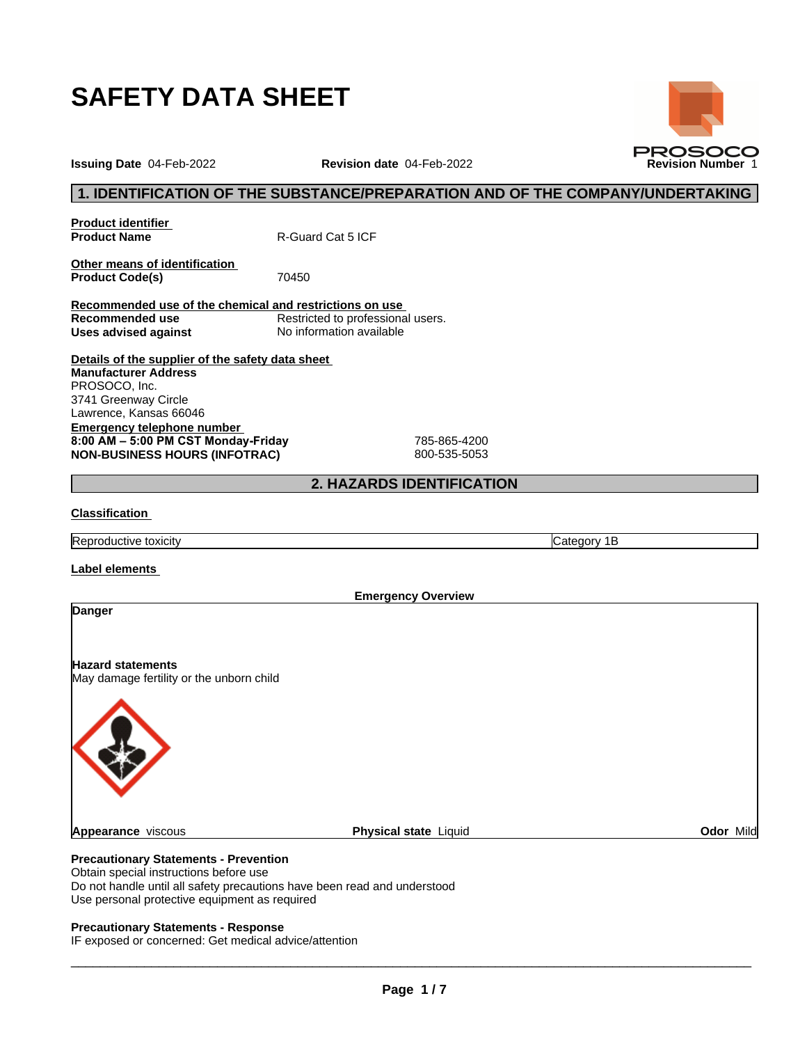

**Issuing Date** 04-Feb-2022 **Revision date** 04-Feb-2022 **Revision Number** 1

## **1. IDENTIFICATION OF THE SUBSTANCE/PREPARATION AND OF THE COMPANY/UNDERTAKING**

**Product identifier**

**Product Name** R-Guard Cat 5 ICF

**Other means of identification Product Code(s)** 70450

**Recommended use of the chemical and restrictions on use Restricted to professional users. Uses advised against** No information available

**Details of the supplier of the safety data sheet Emergency telephone number 8:00AM–5:00PMCSTMonday-Friday** 785-865-4200 **NON-BUSINESS HOURS (INFOTRAC)** 800-535-5053 **Manufacturer Address** PROSOCO, Inc. 3741 Greenway Circle Lawrence, Kansas 66046

## **2. HAZARDS IDENTIFICATION**

#### **Classification**

Reproductive toxicity **Category 1B** 

**Label elements**

**Emergency Overview Danger Hazard statements** May damage fertility or the unborn child **Appearance** viscous **Physical state** Liquid **Odor** Mild

## **Precautionary Statements - Prevention**

Obtain special instructions before use Do not handle until all safety precautions have been read and understood Use personal protective equipment as required

#### **Precautionary Statements - Response**

IF exposed or concerned: Get medical advice/attention

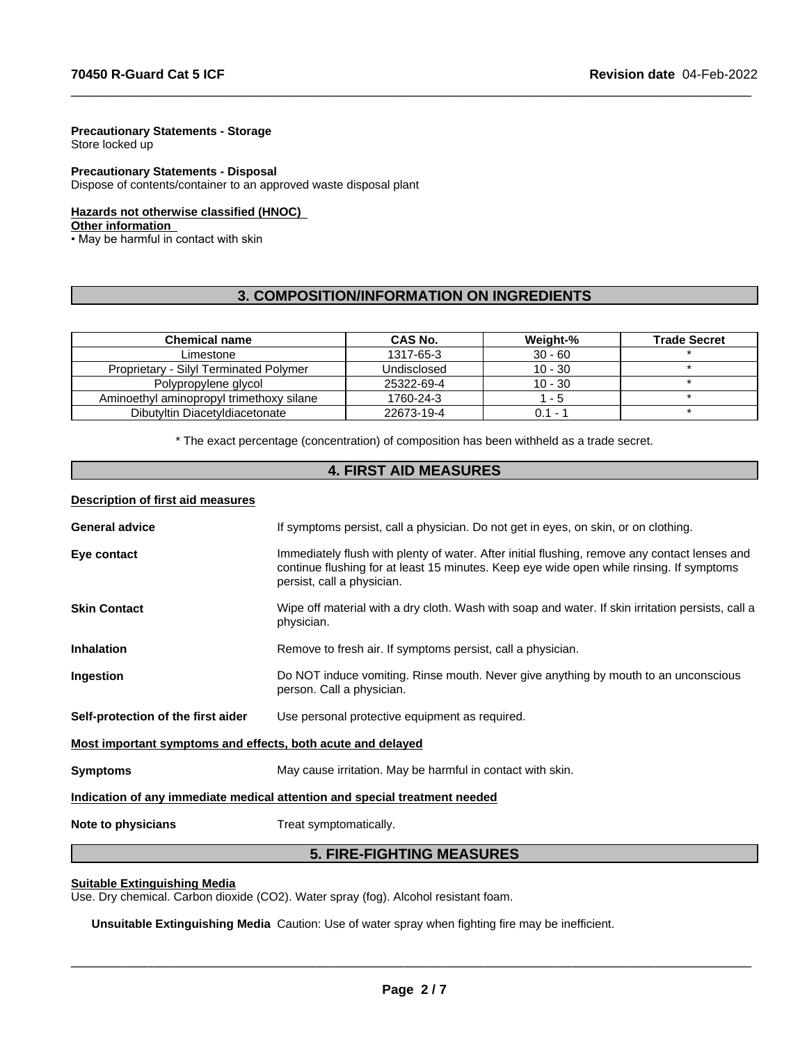#### **Precautionary Statements - Storage**

Store locked up

#### **Precautionary Statements - Disposal**

Dispose of contents/container to an approved waste disposal plant

#### **Hazards not otherwise classified (HNOC)**

#### **Other information**

• May be harmful in contact with skin

## **3. COMPOSITION/INFORMATION ON INGREDIENTS**

 $\_$  ,  $\_$  ,  $\_$  ,  $\_$  ,  $\_$  ,  $\_$  ,  $\_$  ,  $\_$  ,  $\_$  ,  $\_$  ,  $\_$  ,  $\_$  ,  $\_$  ,  $\_$  ,  $\_$  ,  $\_$  ,  $\_$  ,  $\_$  ,  $\_$  ,  $\_$  ,  $\_$  ,  $\_$  ,  $\_$  ,  $\_$  ,  $\_$  ,  $\_$  ,  $\_$  ,  $\_$  ,  $\_$  ,  $\_$  ,  $\_$  ,  $\_$  ,  $\_$  ,  $\_$  ,  $\_$  ,  $\_$  ,  $\_$  ,

| <b>Chemical name</b>                          | CAS No.     | Weight-%  | <b>Trade Secret</b> |
|-----------------------------------------------|-------------|-----------|---------------------|
| Limestone                                     | 1317-65-3   | $30 - 60$ |                     |
| <b>Proprietary - Silvi Terminated Polymer</b> | Undisclosed | $10 - 30$ |                     |
| Polypropylene glycol                          | 25322-69-4  | $10 - 30$ |                     |
| Aminoethyl aminopropyl trimethoxy silane      | 1760-24-3   | - 5       |                     |
| Dibutyltin Diacetyldiacetonate                | 22673-19-4  | $0.1 -$   |                     |

\* The exact percentage (concentration) of composition has been withheld as a trade secret.

### **4. FIRST AID MEASURES**

#### **Description of first aid measures**

| <b>General advice</b>                                                      | If symptoms persist, call a physician. Do not get in eyes, on skin, or on clothing.                                                                                                                                     |  |  |  |
|----------------------------------------------------------------------------|-------------------------------------------------------------------------------------------------------------------------------------------------------------------------------------------------------------------------|--|--|--|
| Eye contact                                                                | Immediately flush with plenty of water. After initial flushing, remove any contact lenses and<br>continue flushing for at least 15 minutes. Keep eye wide open while rinsing. If symptoms<br>persist, call a physician. |  |  |  |
| <b>Skin Contact</b>                                                        | Wipe off material with a dry cloth. Wash with soap and water. If skin irritation persists, call a<br>physician.                                                                                                         |  |  |  |
| <b>Inhalation</b>                                                          | Remove to fresh air. If symptoms persist, call a physician.                                                                                                                                                             |  |  |  |
| Ingestion                                                                  | Do NOT induce vomiting. Rinse mouth. Never give anything by mouth to an unconscious<br>person. Call a physician.                                                                                                        |  |  |  |
| Self-protection of the first aider                                         | Use personal protective equipment as required.                                                                                                                                                                          |  |  |  |
| Most important symptoms and effects, both acute and delayed                |                                                                                                                                                                                                                         |  |  |  |
| <b>Symptoms</b>                                                            | May cause irritation. May be harmful in contact with skin.                                                                                                                                                              |  |  |  |
| Indication of any immediate medical attention and special treatment needed |                                                                                                                                                                                                                         |  |  |  |
| Note to physicians                                                         | Treat symptomatically.                                                                                                                                                                                                  |  |  |  |

## **5. FIRE-FIGHTING MEASURES**

#### **Suitable Extinguishing Media**

Use. Dry chemical. Carbon dioxide (CO2). Water spray (fog). Alcohol resistant foam.

**Unsuitable Extinguishing Media** Caution: Use of water spray when fighting fire may be inefficient.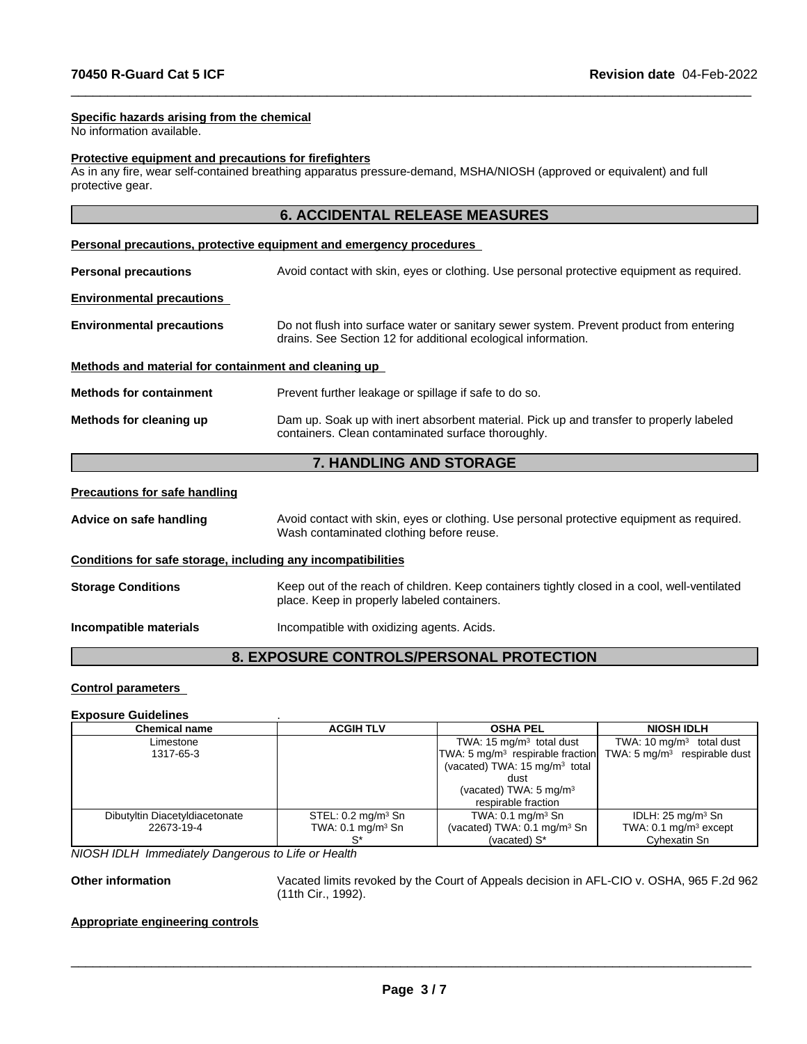#### **Specific hazards arising from the chemical**

No information available.

#### **Protective equipment and precautions for firefighters**

As in any fire, wear self-contained breathing apparatus pressure-demand, MSHA/NIOSH (approved or equivalent) and full protective gear.

 $\_$  ,  $\_$  ,  $\_$  ,  $\_$  ,  $\_$  ,  $\_$  ,  $\_$  ,  $\_$  ,  $\_$  ,  $\_$  ,  $\_$  ,  $\_$  ,  $\_$  ,  $\_$  ,  $\_$  ,  $\_$  ,  $\_$  ,  $\_$  ,  $\_$  ,  $\_$  ,  $\_$  ,  $\_$  ,  $\_$  ,  $\_$  ,  $\_$  ,  $\_$  ,  $\_$  ,  $\_$  ,  $\_$  ,  $\_$  ,  $\_$  ,  $\_$  ,  $\_$  ,  $\_$  ,  $\_$  ,  $\_$  ,  $\_$  ,

|                                                              | <b>6. ACCIDENTAL RELEASE MEASURES</b>                                                                                                                    |
|--------------------------------------------------------------|----------------------------------------------------------------------------------------------------------------------------------------------------------|
|                                                              | Personal precautions, protective equipment and emergency procedures                                                                                      |
| <b>Personal precautions</b>                                  | Avoid contact with skin, eyes or clothing. Use personal protective equipment as required.                                                                |
| <b>Environmental precautions</b>                             |                                                                                                                                                          |
| <b>Environmental precautions</b>                             | Do not flush into surface water or sanitary sewer system. Prevent product from entering<br>drains. See Section 12 for additional ecological information. |
| Methods and material for containment and cleaning up         |                                                                                                                                                          |
| <b>Methods for containment</b>                               | Prevent further leakage or spillage if safe to do so.                                                                                                    |
| Methods for cleaning up                                      | Dam up. Soak up with inert absorbent material. Pick up and transfer to properly labeled<br>containers. Clean contaminated surface thoroughly.            |
|                                                              | <b>7. HANDLING AND STORAGE</b>                                                                                                                           |
| <b>Precautions for safe handling</b>                         |                                                                                                                                                          |
| Advice on safe handling                                      | Avoid contact with skin, eyes or clothing. Use personal protective equipment as required.<br>Wash contaminated clothing before reuse.                    |
| Conditions for safe storage, including any incompatibilities |                                                                                                                                                          |
| <b>Storage Conditions</b>                                    | Keep out of the reach of children. Keep containers tightly closed in a cool, well-ventilated                                                             |

place. Keep in properly labeled containers.

**Incompatible materials Incompatible with oxidizing agents. Acids.** 

## **8. EXPOSURE CONTROLS/PERSONAL PROTECTION**

#### **Control parameters**

#### **Exposure Guidelines** .

| <b>Chemical name</b>           | <b>ACGIH TLV</b>              | <b>OSHA PEL</b>                                                   | <b>NIOSH IDLH</b>                |
|--------------------------------|-------------------------------|-------------------------------------------------------------------|----------------------------------|
| Limestone                      |                               | TWA: 15 $mg/m3$ total dust                                        | TWA: 10 $mg/m3$ total dust       |
| 1317-65-3                      |                               | $TWA: 5 mg/m3$ respirable fraction $TWA: 5 mg/m3$ respirable dust |                                  |
|                                |                               | (vacated) TWA: 15 mg/m <sup>3</sup> total                         |                                  |
|                                |                               | dust                                                              |                                  |
|                                |                               | (vacated) TWA: 5 mg/m <sup>3</sup>                                |                                  |
|                                |                               | respirable fraction                                               |                                  |
| Dibutyltin Diacetyldiacetonate | STEL: $0.2 \text{ mg/m}^3$ Sn | TWA: $0.1 \text{ mg/m}^3$ Sn                                      | IDLH: $25 \text{ mg/m}^3$ Sn     |
| 22673-19-4                     | TWA: $0.1 \text{ mg/m}^3$ Sn  | (vacated) TWA: 0.1 mg/m <sup>3</sup> Sn                           | TWA: $0.1 \text{ mg/m}^3$ except |
|                                |                               | (vacated) S*                                                      | Cyhexatin Sn                     |

*NIOSH IDLH Immediately Dangerous to Life or Health*

**Other information** Vacated limits revoked by the Court of Appeals decision in AFL-CIO v.OSHA, 965 F.2d 962 (11th Cir., 1992).

 $\overline{\phantom{a}}$  ,  $\overline{\phantom{a}}$  ,  $\overline{\phantom{a}}$  ,  $\overline{\phantom{a}}$  ,  $\overline{\phantom{a}}$  ,  $\overline{\phantom{a}}$  ,  $\overline{\phantom{a}}$  ,  $\overline{\phantom{a}}$  ,  $\overline{\phantom{a}}$  ,  $\overline{\phantom{a}}$  ,  $\overline{\phantom{a}}$  ,  $\overline{\phantom{a}}$  ,  $\overline{\phantom{a}}$  ,  $\overline{\phantom{a}}$  ,  $\overline{\phantom{a}}$  ,  $\overline{\phantom{a}}$ 

#### **Appropriate engineering controls**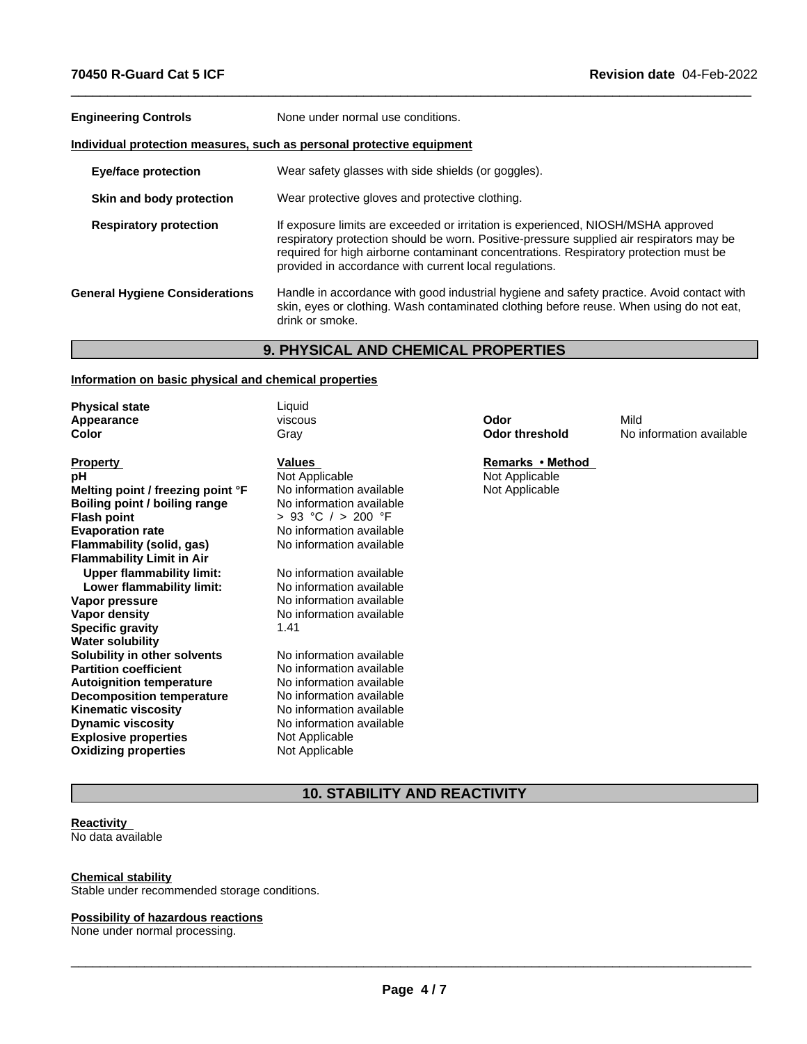| <b>Engineering Controls</b>                                           | None under normal use conditions.                                                                                                                                                                                                                                                                                                |  |  |  |  |
|-----------------------------------------------------------------------|----------------------------------------------------------------------------------------------------------------------------------------------------------------------------------------------------------------------------------------------------------------------------------------------------------------------------------|--|--|--|--|
| Individual protection measures, such as personal protective equipment |                                                                                                                                                                                                                                                                                                                                  |  |  |  |  |
| <b>Eye/face protection</b>                                            | Wear safety glasses with side shields (or goggles).                                                                                                                                                                                                                                                                              |  |  |  |  |
| Skin and body protection                                              | Wear protective gloves and protective clothing.                                                                                                                                                                                                                                                                                  |  |  |  |  |
| <b>Respiratory protection</b>                                         | If exposure limits are exceeded or irritation is experienced, NIOSH/MSHA approved<br>respiratory protection should be worn. Positive-pressure supplied air respirators may be<br>required for high airborne contaminant concentrations. Respiratory protection must be<br>provided in accordance with current local regulations. |  |  |  |  |
| <b>General Hygiene Considerations</b>                                 | Handle in accordance with good industrial hygiene and safety practice. Avoid contact with<br>skin, eyes or clothing. Wash contaminated clothing before reuse. When using do not eat,<br>drink or smoke.                                                                                                                          |  |  |  |  |

 $\_$  ,  $\_$  ,  $\_$  ,  $\_$  ,  $\_$  ,  $\_$  ,  $\_$  ,  $\_$  ,  $\_$  ,  $\_$  ,  $\_$  ,  $\_$  ,  $\_$  ,  $\_$  ,  $\_$  ,  $\_$  ,  $\_$  ,  $\_$  ,  $\_$  ,  $\_$  ,  $\_$  ,  $\_$  ,  $\_$  ,  $\_$  ,  $\_$  ,  $\_$  ,  $\_$  ,  $\_$  ,  $\_$  ,  $\_$  ,  $\_$  ,  $\_$  ,  $\_$  ,  $\_$  ,  $\_$  ,  $\_$  ,  $\_$  ,

## **9. PHYSICAL AND CHEMICAL PROPERTIES**

#### **Information on basic physical and chemical properties**

| <b>Physical state</b>             | Liquid                   |                       |                          |
|-----------------------------------|--------------------------|-----------------------|--------------------------|
| Appearance                        | viscous                  | Odor                  | Mild                     |
| Color                             | Gray                     | <b>Odor threshold</b> | No information available |
| <b>Property</b>                   | Values                   | Remarks • Method      |                          |
| рH                                | Not Applicable           | Not Applicable        |                          |
| Melting point / freezing point °F | No information available | Not Applicable        |                          |
| Boiling point / boiling range     | No information available |                       |                          |
| <b>Flash point</b>                | $> 93$ °C $/ > 200$ °F   |                       |                          |
| <b>Evaporation rate</b>           | No information available |                       |                          |
| Flammability (solid, gas)         | No information available |                       |                          |
| <b>Flammability Limit in Air</b>  |                          |                       |                          |
| <b>Upper flammability limit:</b>  | No information available |                       |                          |
| Lower flammability limit:         | No information available |                       |                          |
| Vapor pressure                    | No information available |                       |                          |
| Vapor density                     | No information available |                       |                          |
| <b>Specific gravity</b>           | 1.41                     |                       |                          |
| <b>Water solubility</b>           |                          |                       |                          |
| Solubility in other solvents      | No information available |                       |                          |
| <b>Partition coefficient</b>      | No information available |                       |                          |
| <b>Autoignition temperature</b>   | No information available |                       |                          |
| Decomposition temperature         | No information available |                       |                          |
| <b>Kinematic viscosity</b>        | No information available |                       |                          |
| <b>Dynamic viscosity</b>          | No information available |                       |                          |
| <b>Explosive properties</b>       | Not Applicable           |                       |                          |
| <b>Oxidizing properties</b>       | Not Applicable           |                       |                          |

## **10. STABILITY AND REACTIVITY**

#### **Reactivity** No data available

### **Chemical stability**

Stable under recommended storage conditions.

#### **Possibility of hazardous reactions**

None under normal processing.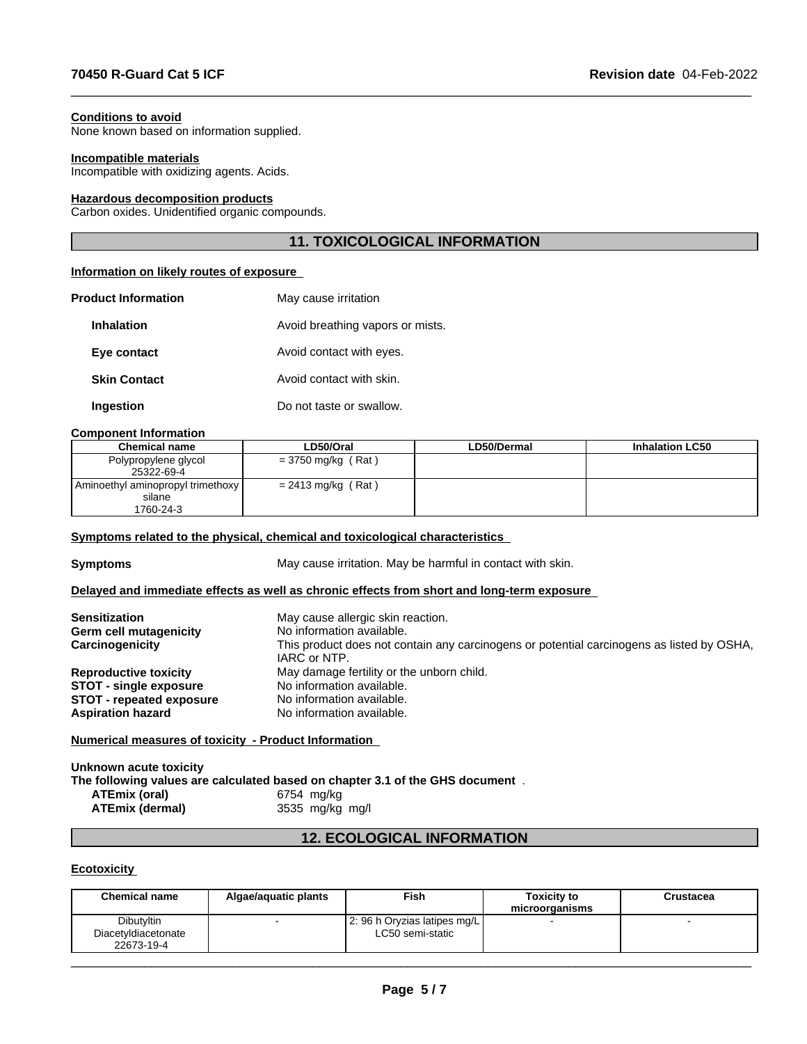#### **Conditions to avoid**

None known based on information supplied.

#### **Incompatible materials**

Incompatible with oxidizing agents. Acids.

#### **Hazardous decomposition products**

Carbon oxides. Unidentified organic compounds.

## **11. TOXICOLOGICAL INFORMATION**

 $\_$  ,  $\_$  ,  $\_$  ,  $\_$  ,  $\_$  ,  $\_$  ,  $\_$  ,  $\_$  ,  $\_$  ,  $\_$  ,  $\_$  ,  $\_$  ,  $\_$  ,  $\_$  ,  $\_$  ,  $\_$  ,  $\_$  ,  $\_$  ,  $\_$  ,  $\_$  ,  $\_$  ,  $\_$  ,  $\_$  ,  $\_$  ,  $\_$  ,  $\_$  ,  $\_$  ,  $\_$  ,  $\_$  ,  $\_$  ,  $\_$  ,  $\_$  ,  $\_$  ,  $\_$  ,  $\_$  ,  $\_$  ,  $\_$  ,

#### **Information on likely routes of exposure**

| <b>Product Information</b> | May cause irritation             |
|----------------------------|----------------------------------|
| <b>Inhalation</b>          | Avoid breathing vapors or mists. |
| Eye contact                | Avoid contact with eyes.         |
| <b>Skin Contact</b>        | Avoid contact with skin.         |
| Ingestion                  | Do not taste or swallow.         |

#### **Component Information**

| <b>Chemical name</b>              | LD50/Oral            | <b>LD50/Dermal</b> | <b>Inhalation LC50</b> |
|-----------------------------------|----------------------|--------------------|------------------------|
| Polypropylene glycol              | = 3750 mg/kg (Rat)   |                    |                        |
| 25322-69-4                        |                      |                    |                        |
| Aminoethyl aminopropyl trimethoxy | $= 2413$ mg/kg (Rat) |                    |                        |
| silane                            |                      |                    |                        |
| 1760-24-3                         |                      |                    |                        |

#### **<u>Symptoms related to the physical, chemical and toxicological characteristics</u>**

**Symptoms** May cause irritation. May be harmful in contact with skin.

### **Delayed and immediate effects as well as chronic effects from short and long-term exposure**

| <b>Sensitization</b><br>Germ cell mutagenicity<br>Carcinogenicity | May cause allergic skin reaction.<br>No information available.<br>This product does not contain any carcinogens or potential carcinogens as listed by OSHA,<br>IARC or NTP. |
|-------------------------------------------------------------------|-----------------------------------------------------------------------------------------------------------------------------------------------------------------------------|
| <b>Reproductive toxicity</b>                                      | May damage fertility or the unborn child.                                                                                                                                   |
| <b>STOT - single exposure</b>                                     | No information available.                                                                                                                                                   |
| <b>STOT - repeated exposure</b>                                   | No information available.                                                                                                                                                   |
| <b>Aspiration hazard</b>                                          | No information available.                                                                                                                                                   |

#### **Numerical measures of toxicity - Product Information**

| Unknown acute toxicity |                                                                                |
|------------------------|--------------------------------------------------------------------------------|
|                        | The following values are calculated based on chapter 3.1 of the GHS document . |
| <b>ATEmix (oral)</b>   | 6754 ma/ka                                                                     |
| <b>ATEmix (dermal)</b> | 3535 mg/kg mg/l                                                                |
|                        |                                                                                |

## **12. ECOLOGICAL INFORMATION**

### **Ecotoxicity**

| Dibutyltin<br>2: 96 h Oryzias latipes mg/L<br>LC50 semi-static<br>Diacetyldiacetonate<br>22673-19-4 | <b>Chemical name</b> | Algae/aquatic plants | Fish | <b>Toxicity to</b><br>microorganisms | Crustacea |
|-----------------------------------------------------------------------------------------------------|----------------------|----------------------|------|--------------------------------------|-----------|
|                                                                                                     |                      |                      |      |                                      |           |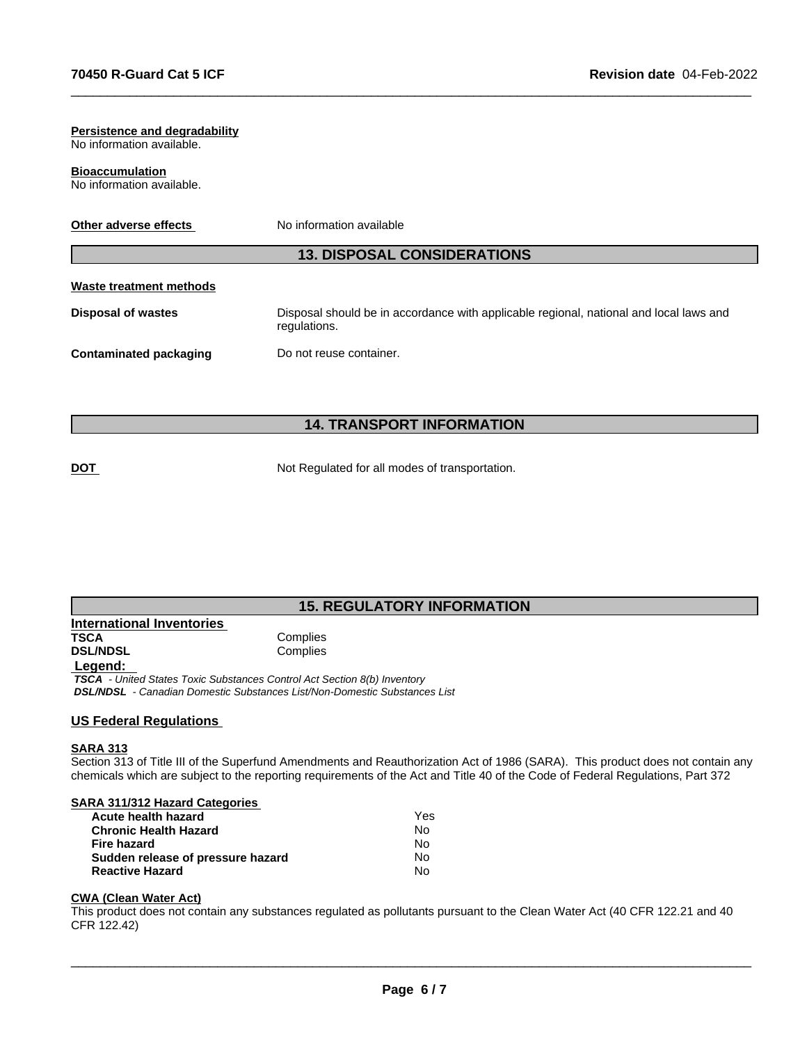# **Persistence and degradability** No information available. **Bioaccumulation** No information available. **Other adverse effects** No information available **13. DISPOSAL CONSIDERATIONS Waste treatment methods Disposal of wastes** Disposal should be in accordance with applicable regional, national and local laws and regulations. **Contaminated packaging Do not reuse container.**

 $\_$  ,  $\_$  ,  $\_$  ,  $\_$  ,  $\_$  ,  $\_$  ,  $\_$  ,  $\_$  ,  $\_$  ,  $\_$  ,  $\_$  ,  $\_$  ,  $\_$  ,  $\_$  ,  $\_$  ,  $\_$  ,  $\_$  ,  $\_$  ,  $\_$  ,  $\_$  ,  $\_$  ,  $\_$  ,  $\_$  ,  $\_$  ,  $\_$  ,  $\_$  ,  $\_$  ,  $\_$  ,  $\_$  ,  $\_$  ,  $\_$  ,  $\_$  ,  $\_$  ,  $\_$  ,  $\_$  ,  $\_$  ,  $\_$  ,

## **14. TRANSPORT INFORMATION**

**DOT** Not Regulated for all modes of transportation.

## **15. REGULATORY INFORMATION**

| <b>International Inventories</b> |          |  |
|----------------------------------|----------|--|
| TSCA                             | Complies |  |
| <b>DSL/NDSL</b>                  | Complies |  |
| Legend:                          |          |  |

 *TSCA - United States Toxic Substances Control Act Section 8(b) Inventory DSL/NDSL - Canadian Domestic Substances List/Non-Domestic Substances List*

## **US Federal Regulations**

#### **SARA 313**

Section 313 of Title III of the Superfund Amendments and Reauthorization Act of 1986 (SARA). This product does not contain any chemicals which are subject to the reporting requirements of the Act and Title 40 of the Code of Federal Regulations, Part 372

| <b>SARA 311/312 Hazard Categories</b> |  |
|---------------------------------------|--|
|                                       |  |

| Yes |
|-----|
| N٥  |
| N٥  |
| N٥  |
| N٥  |
|     |

## **CWA** (Clean Water Act)

This product does not contain any substances regulated as pollutants pursuant to the Clean Water Act (40 CFR 122.21 and 40 CFR 122.42)